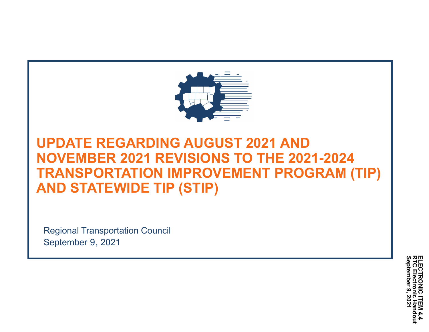

## **UPDATE REGARDING AUGUST 2021 AND NOVEMBER 2021 REVISIONS TO THE 2021-2024 TRANSPORTATION IMPROVEMENT PROGRAM (TIP) AND STATEWIDE TIP (STIP)**

Regional Transportation Council September 9, 2021

> **ELE**<br>DIC **RTC Electronic Handout ELECTRONIC ITEM 4.4 September TRONIC 9, 2021**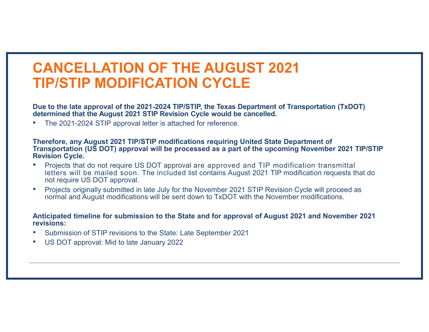# **CANCELLATION OF THE AUGUST 2021 TIP/STIP MODIFICATION CYCLE**

Due to the late approval of the 2021-2024 TIP/STIP, the Texas Department of Transportation (TxDOT) **determined that the August 2021 STIP Revision Cycle would be cancelled.**

•The 2021-2024 STIP approval letter is attached for reference.

#### **Therefore, any August 2021 TIP/STIP modifications requiring United State Department of Transportation (US DOT) approval will be processed as a part of the upcoming November 2021 TIP/STIP Revision Cycle.**

- • Projects that do not require US DOT approval are approved and TIP modification transmittal letters will be mailed soon. The included list contains August 2021 TIP modification requests that do not require US DOT approval.
- • Projects originally submitted in late July for the November 2021 STIP Revision Cycle will proceed as normal and August modifications will be sent down to TxDOT with the November modifications.

#### **Anticipated timeline for submission to the State and for approval of August 2021 and November 2021 revisions:**

- •Submission of STIP revisions to the State: Late September 2021
- •US DOT approval: Mid to late January 2022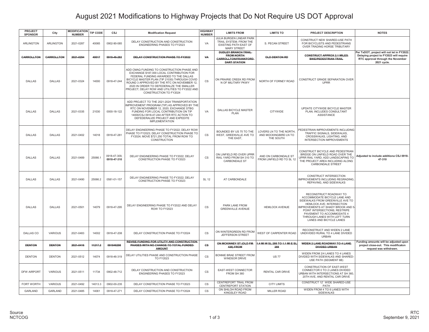## August 2021 Modifications to Highway Projects that Do Not Require US DOT Approval

| <b>PROJECT</b><br><b>SPONSOR</b> | City              | MODIFICATION<br><b>NUMBER</b> | TIP CODE | CSJ                         | <b>Modification Request</b>                                                                                                                                                                                                                                                                                                                              | <b>HIGHWAY</b><br><b>NUMBER</b> | <b>LIMITS FROM</b>                                                                               | <b>LIMITS TO</b>                                              | PROJECT DESCRIPTION                                                                                                                                                                                                                                                                    | <b>NOTES</b>                                                                                                                              |
|----------------------------------|-------------------|-------------------------------|----------|-----------------------------|----------------------------------------------------------------------------------------------------------------------------------------------------------------------------------------------------------------------------------------------------------------------------------------------------------------------------------------------------------|---------------------------------|--------------------------------------------------------------------------------------------------|---------------------------------------------------------------|----------------------------------------------------------------------------------------------------------------------------------------------------------------------------------------------------------------------------------------------------------------------------------------|-------------------------------------------------------------------------------------------------------------------------------------------|
| ARLINGTON                        | ARLINGTON         | 2021-0287                     | 40065    | 0902-90-085                 | DELAY CONSTRUCTION AND CONSTRUCTION<br>ENGINEERING PHASES TO FY2023                                                                                                                                                                                                                                                                                      | VA                              | JULIA BURGEN LINEAR PARK<br>TRAIL SYSTEM; FROM THE<br>EXISTING PATH EAST OF<br>MARY STREET       | S. PECAN STREET                                               | CONSTRUCT NEW SHARED-USE PATH<br>FOR BICYCLISTS AND PEDESTRIANS<br>OVER TRADING HORSE TRIBUTARY                                                                                                                                                                                        |                                                                                                                                           |
| <b>CARROLLTON</b>                | <b>CARROLLTON</b> | 2021-0294                     | 40017    | 0918-46-282                 | <b>DELAY CONSTRUCTION PHASE TO FY2022</b>                                                                                                                                                                                                                                                                                                                | VA                              | <b>DUDLEY BRANCH TRAIL-</b><br><b>FROM NORTH-</b><br>CARROLLTON/FRANKFORD<br><b>DART STATION</b> | <b>OLD DENTON RD</b>                                          | <b>CONSTRUCT APPROX 2.1 MILES</b><br><b>BIKE/PEDESTRIAN TRAIL</b>                                                                                                                                                                                                                      | Per TxDOT, project will not let in FY2022.<br>Delaying project to FY2023 will require<br>RTC approval through the November<br>2021 cycle. |
| DALLAS                           | <b>DALLAS</b>     | 2021-0324                     | 14000    | 0918-47-244                 | ADD CMAQ FUNDING TO CONSTRUCTION PHASE AND<br>EXCHANGE \$187,000 LOCAL CONTRIBUTION FOR<br>FEDERAL FUNDING AWARDED TO THE DALLAS<br>BICYCLE MASTER PLAN (TIP 21030) THROUGH COVID<br>ROUND 3 APPROVED BY THE RTC ON NOVEMBER 12,<br>2020 IN ORDER TO DEFEDERALZE THE SMALLER<br>PROJECT; DELAY ROW AND UTILITIES TO FY2022 AND<br>CONSTRUCTION TO FY2024 | CS                              | ON PRAIRIE CREEK RD FROM<br>N OF MILITARY PKWY                                                   | NORTH OF FORNEY ROAD                                          | CONSTRUCT GRADE SEPARATION OVER<br><b>UPRR</b>                                                                                                                                                                                                                                         |                                                                                                                                           |
| <b>DALLAS</b>                    | <b>DALLAS</b>     | 2021-0335                     | 21030    | 0000-18-122                 | ADD PROJECT TO THE 2021-2024 TRANSPORTATION<br>IMPROVEMENT PROGRAM (TIP) AS APPROVED BY THE<br>RTC ON NOVEMBER 12, 2020; EXCHANGE STBG<br>FUNDING FOR LOCAL CONTRIBUTION ON TIP<br>14000/CSJ 0918-47-244 AFTER RTC ACTION TO<br>DEFEDERALIZE PROJECT AND EXPEDITE<br><b>IMPLEMENTATION</b>                                                               | VA                              | DALLAS BICYCLE MASTER<br>PLAN                                                                    | <b>CITYWIDE</b>                                               | UPDATE CITYWIDE BICYCLE MASTER<br>PLAN; INCLUDES CONSULTANT<br><b>ASSISTANCE</b>                                                                                                                                                                                                       |                                                                                                                                           |
| DALLAS                           | <b>DALLAS</b>     | 2021-0402                     | 14018    | 0918-47-281                 | DELAY ENGINEERING PHASE TO FY2022; DELAY ROW<br>PHASE TO FY2023; DELAY CONSTRUCTION PHASE TO<br>FY2024; MOVE \$721,250 TOTAL FROM ROW TO<br>CONSTRUCTION                                                                                                                                                                                                 | CS                              | BOUNDED BY US 75 TO THE<br>WEST, GREENVILLE AVE TO<br>THE EAST.                                  | LOVERS LN TO THE NORTH.<br>AND MOCKINGBIRD LN TO<br>THE SOUTH | PEDESTRIAN IMPROVEMENTS INCLUDING<br>TRAFFIC SIGNALS, SIDEWALKS,<br>CROSSWALKS, LIGHTING, AND<br>INTERSECTION IMPROVEMENTS                                                                                                                                                             |                                                                                                                                           |
| <b>DALLAS</b>                    | <b>DALLAS</b>     | 2021-0489                     | 25066.1  | 0918-47-309,<br>0918-47-310 | DELAY ENGINEERING PHASE TO FY2022; DELAY<br>CONSTRUCTION PHASE TO FY2023                                                                                                                                                                                                                                                                                 | <b>CS</b>                       | ON LINFIELD RD OVER UPRR<br>RAIL YARD FROM SH 310 TO<br><b>CARBONDALE ST</b>                     | AND ON CARBONDALE ST<br>FROM LINFIELD RD TO SL 12             | CONSTRUCT BICYCLE AND PEDESTRIAN<br>BRIDGE ON LINFIELD ROAD OVER THE<br>UPRR RAIL YARD: ADD LANDSCAPING TO<br>THE PROJECT AREA INCLUDING ALONG<br>CARBONDALE STREET                                                                                                                    | Adjusted to include additiona CSJ 0918-<br>47-310                                                                                         |
| <b>DALLAS</b>                    | <b>DALLAS</b>     | 2021-0490                     | 25066.2  | 0581-01-157                 | DELAY ENGINEERING PHASE TO FY2022; DELAY<br>CONSTRUCTION PHASE TO FY2023                                                                                                                                                                                                                                                                                 | SL 12                           | AT CARBONDALE                                                                                    |                                                               | CONSTRUCT INTERSECTION<br>IMPROVEMENTS INCLUDING REGRADING,<br>REPAVING, AND SIDEWALKS                                                                                                                                                                                                 |                                                                                                                                           |
| <b>DALLAS</b>                    | <b>DALLAS</b>     | 2021-0501                     | 14079    | 0918-47-295                 | DELAY ENGINEERING PHASE TO FY2022 AND DELAY<br>ROW TO FY2023                                                                                                                                                                                                                                                                                             | CS                              | PARK LANE FROM<br><b>GREENVILLE AVENUE</b>                                                       | <b>HEMLOCK AVENUE</b>                                         | RECONSTRUCT ROADWAY TO<br>ACCOMMODATE BICYCLE LANE AND<br>SIDEWALKS FROM GREENVILLE AVE TO<br>HEMLOCK AVE; INTERSECTION<br>IMPROVEMENTS AT SHADY BROOK AND 5-<br>POINT INTERSECTIONS; RESTRIPE<br>PAVEMENT TO ACCOMMODATE 4<br>THROUGH LANES WITH LEFT TURN<br>LANES AND BICYCLE LANES |                                                                                                                                           |
| DALLAS CO                        | VARIOUS           | 2021-0483                     | 14002    | 0918-47-208                 | DELAY CONSTRUCTION PHASE TO FY2024                                                                                                                                                                                                                                                                                                                       | CS                              | ON WINTERGREEN RD FROM<br>JEFFERSON STREET                                                       | WEST OF CARPENTER ROAD                                        | RECONSTRUCT AND WIDEN 2 LANE<br>UNDIVIDED RURAL TO 4 LANE DIVIDED<br><b>URBAN</b>                                                                                                                                                                                                      |                                                                                                                                           |
| <b>DENTON</b>                    | <b>DENTON</b>     | 2021-0416                     | 11217.2  | 091846298                   | REVISE FUNDING FOR UTILITY AND CONSTRUCTION<br>PHASES WITH NO CHANGE TO TOTAL FUNDED-<br>AMOUNT                                                                                                                                                                                                                                                          | <b>CS</b>                       | ON MCKINNEY ST (OLD FM-<br>426) FROM                                                             | 1.4 MI W SL 288 TO 1.1 MI E SL<br>288                         | WIDEN 2 LANE ROADWAY TO 4 LANE-<br>DIVIDED URBAN                                                                                                                                                                                                                                       | Funding amounts will be adjusted upon<br>project close-out. This modificaton<br>request was withdrawn.                                    |
| <b>DENTON</b>                    | <b>DENTON</b>     | 2021-0512                     | 14074    | 0918-46-319                 | DELAY UTILITIES PHASE AND CONSTRUCTION PHASE<br><b>TO FY2023</b>                                                                                                                                                                                                                                                                                         | CS                              | BONNIE BRAE STREET FROM<br>WINDSOR DRIVE                                                         | <b>US 77</b>                                                  | WIDEN FROM 2/4 LANES TO 4 LANES<br>DIVIDED WITH SIDEWALKS AND SHARED-<br>USE PATH (SEGMENT 6B)                                                                                                                                                                                         |                                                                                                                                           |
| <b>DFW AIRPORT</b>               | VARIOUS           | 2021-0511                     | 11734    | 0902-48-712                 | DELAY CONSTRUCTION AND CONSTRUCTION<br>ENGINEERING PHASES TO FY2023                                                                                                                                                                                                                                                                                      | CS                              | EAST-WEST CONNECTOR<br>FROM SH 360                                                               | RENTAL CAR DRIVE                                              | CONSTRUCTION OF EAST-WEST<br>CONNECTOR 0 TO 2 LANES DIVIDED<br>URBAN WITH INTERSECTIONS AT SH 360,<br>20TH AVE, AND RENTAL CAR DRIVE                                                                                                                                                   |                                                                                                                                           |
| <b>FORT WORTH</b>                | <b>VARIOUS</b>    | 2021-0492                     | 14013.3  | 0902-00-235                 | DELAY CONSTRUCTION PHASE TO FY2023                                                                                                                                                                                                                                                                                                                       | CS                              | CENTREPORT TRAIL FROM<br>CENTREPORT STATION                                                      | <b>CITY LIMITS</b>                                            | CONSTRUCT 12' WIDE SHARED-USE<br>PATH                                                                                                                                                                                                                                                  |                                                                                                                                           |
| GARLAND                          | <b>GARLAND</b>    | 2021-0485                     | 14061    | 0918-47-271                 | DELAY CONSTRUCTION PHASE TO FY2024                                                                                                                                                                                                                                                                                                                       | CS                              | ON SHILOH ROAD FROM<br>KINGSLEY ROAD                                                             | <b>MILLER ROAD</b>                                            | WIDEN FROM 4 TO 6 LANES WITH<br>SIDEWALKS                                                                                                                                                                                                                                              |                                                                                                                                           |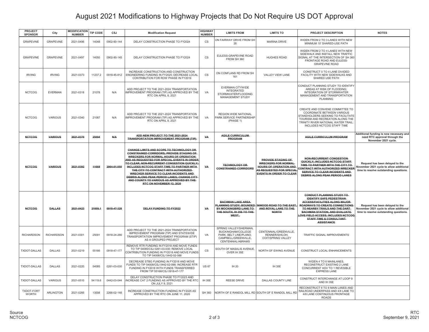## August 2021 Modifications to Highway Projects that Do Not Require US DOT Approval

| <b>PROJECT</b><br><b>SPONSOR</b>  | City              | <b>MODIFICATION</b><br><b>NUMBER</b> | <b>TIP CODE</b> | CSJ         | <b>Modification Request</b>                                                                                                                                                                                                                                                                                                                                                                                                                                                                    | <b>HIGHWAY</b><br><b>NUMBER</b> | <b>LIMITS FROM</b>                                                                                                  | <b>LIMITS TO</b>                                                                                                                                        | PROJECT DESCRIPTION                                                                                                                                                                                                                                                                                            | <b>NOTES</b>                                                                                                         |
|-----------------------------------|-------------------|--------------------------------------|-----------------|-------------|------------------------------------------------------------------------------------------------------------------------------------------------------------------------------------------------------------------------------------------------------------------------------------------------------------------------------------------------------------------------------------------------------------------------------------------------------------------------------------------------|---------------------------------|---------------------------------------------------------------------------------------------------------------------|---------------------------------------------------------------------------------------------------------------------------------------------------------|----------------------------------------------------------------------------------------------------------------------------------------------------------------------------------------------------------------------------------------------------------------------------------------------------------------|----------------------------------------------------------------------------------------------------------------------|
| <b>GRAPEVINE</b>                  | <b>GRAPEVINE</b>  | 2021-0496                            | 14048           | 0902-90-144 | DELAY CONSTRUCTION PHASE TO FY2024                                                                                                                                                                                                                                                                                                                                                                                                                                                             | CS                              | ON FAIRWAY DRIVE FROM SH<br>26                                                                                      | <b>MARINA DRIVE</b>                                                                                                                                     | WIDEN FROM 2 TO 3 LANES WITH NEW<br>MINIMUM 10' SHARED-USE PATH                                                                                                                                                                                                                                                |                                                                                                                      |
| <b>GRAPEVINE</b>                  | <b>GRAPEVINE</b>  | 2021-0497                            | 14050           | 0902-90-145 | DELAY CONSTRUCTION PHASE TO FY2024                                                                                                                                                                                                                                                                                                                                                                                                                                                             | <b>CS</b>                       | EULESS-GRAPEVINE ROAD<br>FROM SH 360                                                                                | <b>HUGHES ROAD</b>                                                                                                                                      | WIDEN FROM 2 TO 4 LANES WITH NEW<br>SIDEWALK AND INSTALL NEW TRAFFIC<br>SIGNAL AT THE INTERSECTION OF SH 360<br>FRONTAGE ROAD AND EULESS-<br><b>GRAPEVINE ROAD</b>                                                                                                                                             |                                                                                                                      |
| <b>IRVING</b>                     | <b>IRVING</b>     | 2021-0373                            | 11237.2         | 0918-45-812 | INCREASE CONSTRUCTION AND CONSTRUCTION<br>ENGINEERING FUNDING IN FY2025; DECREASE LOCAL<br>CONTRIBUTION FOR ROW PHASE IN FY2019                                                                                                                                                                                                                                                                                                                                                                | CS                              | ON CONFLANS RD FROM SH<br>161                                                                                       | VALLEY VIEW LANE                                                                                                                                        | CONSTRUCT 0 TO 4 LANE DIVIDED<br>FACILITY WITH NEW SIDEWALKS AND<br>SHARED USE PATH                                                                                                                                                                                                                            |                                                                                                                      |
| <b>NCTCOG</b>                     | <b>EVERMAN</b>    | 2021-0318                            | 21078           | N/A         | ADD PROJECT TO THE 2021-2024 TRANSPORTATION<br>IMPROVEMENT PROGRAM (TIP) AS APPROVED BY THE<br>RTC ON APRIL 8, 2021                                                                                                                                                                                                                                                                                                                                                                            | VA                              | EVERMAN CITYWIDE<br><b>INTEGRATED</b><br>STORMWATER/FLOODING<br>MANAGEMENT STUDY                                    |                                                                                                                                                         | CONDUCT PLANNING STUDY TO IDENTIFY<br>AREAS AT RISK OF FLOODING:<br>INTEGRATION OF STORMWATER<br>MANAGEMENT AND TRANSPORTATION<br><b>PLANNING</b>                                                                                                                                                              |                                                                                                                      |
| <b>NCTCOG</b>                     | <b>VARIOUS</b>    | 2021-0340                            | 21087           | N/A         | ADD PROJECT TO THE 2021-2024 TRANSPORTATION<br>IMPROVEMENT PROGRAM (TIP) AS APPROVED BY THE<br>RTC ON APRIL 8, 2021                                                                                                                                                                                                                                                                                                                                                                            | VA                              | <b>REGION WIDE NATIONAL</b><br>PARK SERVICE PARTNERSHIP<br>(PHASE 1)                                                |                                                                                                                                                         | CREATE AND CONVENE COMMITTEE TO<br>COORDINATE BETWEEN VARIOUS<br>STAKEHOLDERS SEEKING TO FACILITATE<br>TOURISM AND RECREATION ALONG THE<br>TRINITY RIVER NATIONAL WATER TRAIL<br>INCLUDES NCTCOG STAFF TIME                                                                                                    |                                                                                                                      |
| <b>NCTCOG</b>                     | <b>VARIOUS</b>    | 2021-0370                            | 25094           | <b>N/A</b>  | ADD NEW PROJECT TO THE 2021-2024<br><b>TRANSPORTATION IMPROVEMENT PROGRAM (TIP)</b>                                                                                                                                                                                                                                                                                                                                                                                                            | VA                              | <b>AGILE CURRICULUM</b><br><b>PROGRAM</b>                                                                           |                                                                                                                                                         | <b>AGILE CURRICULUM PROGRAM</b>                                                                                                                                                                                                                                                                                | Additional funding is now necessary and<br>need RTC approval through the<br>November 2021 cycle.                     |
| <b>NCTCOG</b>                     | <b>VARIOUS</b>    | 2021-0392                            | 11668           | 2964-01-050 | CHANGE LIMITS AND SCOPE TO TECHNOLOGY OR<br><b>CONSTRAINED CORRIDORS; PROVIDE STAGING OF</b><br>WRECKERS FOR NORMAL HOURS OF OPERATION<br>AND AS REQUESTED FOR SPECIAL EVENTS IN ORDER<br>TO CLEAR; NON-RECURRENT CONGESTION QUICKLY;<br>INCLUDES NCTCOG STAFF TIME TO PARTNER WITH-<br>THE CITY TO CONTRACT WITH AUTHORIZED-<br>WRECKER SERVICE TO CLEAR INCIDENTS AND<br>DEBRIS ALONG PEAK PERIOD LANES; CHANGE CITY<br>AND COUNTY TO VARIOUS AS APPROVED BY THE<br>RTC ON NOVEMBER 12, 2020 | VA                              | <b>TECHNOLOGY OR</b><br><b>CONSTRAINED CORRIDORS</b>                                                                | <b>PROVIDE STAGING OF</b><br><b>WRECKERS FOR NORMAL</b><br>HOURS OF OPERATION AND<br><b>AS REQUESTED FOR SPECIAL</b><br><b>EVENTS IN ORDER TO CLEAR</b> | <b>NON-RECURRENT CONGESTION</b><br>QUICKLY; INCLUDES NCTCOG STAFF<br>TIME TO PARTNER WITH THE CITY TO<br>CONTRACT WITH AUTHORIZED WRECKER<br>SERVICE TO CLEAR INCIDENTS AND<br>DEBRIS ALONG PEAK PERIOD LANES                                                                                                  | Request has been delayed to the<br>November 2021 cycle to allow additional<br>time to resolve outstanding questions. |
| <b>NCTCOG</b>                     | <b>DALLAS</b>     | 2021-0423                            | 21009.1         | 0918-47-328 | DELAY FUNDING TO FY2022                                                                                                                                                                                                                                                                                                                                                                                                                                                                        | VA                              | <b>BACHMAN LAKE AREA</b><br>PLANNING STUDY; BOUNDED<br>BY MOCKINGBIRD LANE TO-<br>THE SOUTH, IH 35E TO THE<br>WEST, | INWOOD ROAD TO THE EAST,<br>AND ROYAL LANE TO THE<br><b>NORTH</b>                                                                                       | <b>CONDUCT PLANNING STUDY TO</b><br><b>IDENTIFY SAFE PEDESTRIAN-</b><br><b>ACCESS/FACILITIES ALONG MAJOR</b><br>ROADWAYS TO CREATE CONNECTIONS<br>TO NEARBY TRAILS AND THE DART-<br><b>BACHMAN STATION, AND EVALUATE-</b><br>OVE FIELD ACCESS; INCLUDES NCTCOG<br>STAFF TIME & CONSULTANT<br><b>ASSISTANCE</b> | Request has been delayed to the<br>November 2021 cycle to allow additional<br>time to resolve outstanding questions. |
| <b>RICHARDSON</b>                 | <b>RICHARDSON</b> | 2021-0301                            | 25091           | 0918-24-266 | ADD PROJECT TO THE 2021-2024 TRANSPORTATION<br>IMPROVEMENT PROGRAM (TIP) AND STATEWIDE<br>TRANSPORTATION IMPROVEMENT PROGRAM (STIP)<br>AS A GROUPED PROJECT                                                                                                                                                                                                                                                                                                                                    | VA                              | SPRING VALLEY/SHERMAN.<br>BUCKINGHAM/COLLEGE<br>PARK, BELT LINE/PLANO,<br>CAMPBELL/GREENVILLE,<br>CENTENNIAL/ABRAMS | CENTENNIAL/GREENVILLE,<br>RENNER/SHILOH,<br>COIT/SPRING VALLEY                                                                                          | TRAFFIC SIGNAL IMPROVEMENTS                                                                                                                                                                                                                                                                                    |                                                                                                                      |
| TXDOT-DALLAS                      | <b>DALLAS</b>     | 2021-0219                            | 55166           | 0918-47-177 | REMOVE RTR FUNDING IN FY2018 AND MOVE FUNDS<br>TO TIP 54085/CSJ 0261-03-030; REMOVE LOCAL<br>CONTRIBUTION FUNDING IN FY2018 AND MOVE FUNDS<br>TO TIP 54008/CSJ 0442-02-088                                                                                                                                                                                                                                                                                                                     | $\mathsf{CS}\phantom{0}$        | SOUTH OF MASALIS AVENUE.<br>OVER IH 35E                                                                             | NORTH OF EWING AVENUE                                                                                                                                   | CONSTRUCT LOCAL ENHANCEMENTS                                                                                                                                                                                                                                                                                   |                                                                                                                      |
| <b>TXDOT-DALLAS</b>               | DALLAS            | 2021-0220                            | 54085           | 0261-03-030 | DECREASE STBG FUNDING IN FY2018 AND MOVE<br>FUNDS TO TIP 54008/CSJ 0442-02-088: INCREASE RTR<br>FUNDING IN FY2018 WITH FUNDS TRANSFERRED<br>FROM TIP 55166/CSJ 0918-47-177                                                                                                                                                                                                                                                                                                                     | <b>US 67</b>                    | IH 20                                                                                                               | IH 35E                                                                                                                                                  | WIDEN 4 TO 6 MAINLANES,<br>RECONSTRUCT EXISTING 2 LANE<br>CONCURRENT HOV TO 1 REVESIBLE<br><b>EXPRESS LANE</b>                                                                                                                                                                                                 |                                                                                                                      |
| TXDOT-DALLAS                      | VARIOUS           | 2021-0510                            | 54119.6         | 0442-03-044 | DELAY CONSTRUCTION PHASE TO FY2023 AND<br>INCREASE CAT 2 FUNDING AS APPROVED BY THE RTC<br>ON JULY 8, 2021                                                                                                                                                                                                                                                                                                                                                                                     | IH 35E                          | <b>REESE DRIVE</b>                                                                                                  | DALLAS COUNTY LINE                                                                                                                                      | CONSTRUCT INTERCHANGE AT LOOP 9<br>AND IH 35E                                                                                                                                                                                                                                                                  |                                                                                                                      |
| <b>TXDOT-FORT</b><br><b>WORTH</b> | <b>ARLINGTON</b>  | 2021-0285                            | 13008           | 2266-02-148 | INCREASE CONSTRUCTION FUNDING IN FY2025 AS<br>APPROVED BY THE RTC ON JUNE 11, 2020                                                                                                                                                                                                                                                                                                                                                                                                             | <b>SH 360</b>                   |                                                                                                                     | NORTH OF E RANDOL MILL RD SOUTH OF E RANDOL MILL RD                                                                                                     | RECONSTRUCT 6 TO 8 MAIN LANES AND<br>RAILROAD UNDERPASS AND 4/8 LANE TO<br>4/8 LANE CONTINUOUS FRONTAGE<br><b>ROADS</b>                                                                                                                                                                                        |                                                                                                                      |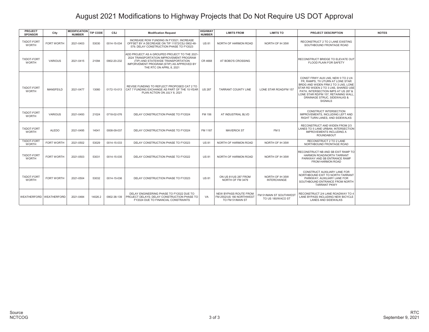### August 2021 Modifications to Highway Projects that Do Not Require US DOT Approval

| <b>PROJECT</b><br><b>SPONSOR</b>  | City                    | MODIFICATION TIP CODE<br><b>NUMBER</b> |         | CSJ         | <b>Modification Request</b>                                                                                                                                                                             | <b>HIGHWAY</b><br><b>NUMBER</b> | <b>LIMITS FROM</b>                                                           | <b>LIMITS TO</b>                            | <b>PROJECT DESCRIPTION</b>                                                                                                                                                                                                                                                          | <b>NOTES</b> |
|-----------------------------------|-------------------------|----------------------------------------|---------|-------------|---------------------------------------------------------------------------------------------------------------------------------------------------------------------------------------------------------|---------------------------------|------------------------------------------------------------------------------|---------------------------------------------|-------------------------------------------------------------------------------------------------------------------------------------------------------------------------------------------------------------------------------------------------------------------------------------|--------------|
| <b>TXDOT-FORT</b><br>WORTH        | <b>FORT WORTH</b>       | 2021-0403                              | 53030   | 0014-15-034 | INCREASE ROW FUNDING IN FY2021: INCREASE<br>OFFSET BY A DECREASE ON TIP 11572/CSJ 0902-48-<br>579; DELAY CONSTRUCTION PHASE TO FY2023                                                                   | <b>US 81</b>                    | NORTH OF HARMON ROAD                                                         | NORTH OF IH 35W                             | RECONSTRUCT 2 TO 2 LANE EXISTING<br>SOUTHBOUND FRONTAGE ROAD                                                                                                                                                                                                                        |              |
| <b>TXDOT-FORT</b><br><b>WORTH</b> | VARIOUS                 | 2021-0415                              | 21094   | 0902-20-232 | ADD PROJECT AS A GROUPED PROJECT TO THE 2021-<br>2024 TRANSPORTATION IMPROVEMENT PROGRAM<br>(TIP) AND STATEWIDE TRANSPORTATION<br>IMPORVEMENT PROGRAM (STIP) AS APPROVED BY<br>THE RTC ON APRIL 8, 2021 | CR 4668                         | AT BOBO'S CROSSING                                                           |                                             | RECONSTRUCT BRIDGE TO ELEVATE OUT<br><b>FLOOD PLAIN FOR SAFETY</b>                                                                                                                                                                                                                  |              |
| <b>TXDOT-FORT</b><br><b>WORTH</b> | <b>MANSFEILD</b>        | 2021-0477                              | 13060   | 0172-10-013 | REVISE FUNDING TO REFLECT PROPOSED CAT 2 TO<br>I CAT 7 FUNDING EXCHANGE AS PART OF THE 10-YEAR<br>PLAN ACTION ON JULY 8, 2021                                                                           | <b>US 287</b>                   | <b>TARRANT COUNTY LINE</b>                                                   | LONE STAR ROAD/FM 157                       | CONST FRWY AUX LNS. NEW 0 TO 2 LN<br>FR. RAMPS. TX UTURN AT LONE STAR<br>BRDG AND WIDEN FRM 2 TO 3 LNS. LONE<br>STAR RD WIDEN 2 TO 3 LNS. SHARED USE<br>PATH. INTERSECTION IMPS AT US 287 &<br>LONE STAR RD/FM 157, RETAINING WALL<br>DRAINAGE STRUC, SIDEWALKS &<br><b>SIGNALS</b> |              |
| <b>TXDOT-FORT</b><br><b>WORTH</b> | VARIOUS                 | 2021-0493                              | 21024   | 0718-02-076 | DELAY CONSTRUCTION PHASE TO FY2024                                                                                                                                                                      | FM 156                          | AT INDUSTRIAL BLVD                                                           |                                             | CONSTRUCT INTERSECTION<br><b>IMPROVEMENTS, INCLUDING LEFT AND</b><br>RIGHT TURN LANES, AND SIDEWALKS                                                                                                                                                                                |              |
| <b>TXDOT-FORT</b><br><b>WORTH</b> | <b>ALEDO</b>            | 2021-0495                              | 14041   | 0008-09-037 | DELAY CONSTRUCTION PHASE TO FY2024                                                                                                                                                                      | FM 1187                         | <b>MAVERICK ST</b>                                                           | FM <sub>5</sub>                             | RECONSTRUCT AND WIDEN FROM 2/3<br>LANES TO 5 LANE URBAN: INTERSECTION<br><b>IMPROVEMENTS INCLUDING A</b><br><b>ROUNDABOUT</b>                                                                                                                                                       |              |
| <b>TXDOT-FORT</b><br><b>WORTH</b> | FORT WORTH              | 2021-0502                              | 53029   | 0014-15-033 | DELAY CONSTRUCTION PHASE TO FY2023                                                                                                                                                                      | <b>US 81</b>                    | NORTH OF HARMON ROAD                                                         | NORTH OF IH 35W                             | RECONSTRUCT 2 TO 2 LANE<br>NORTHBOUND FRONTAGE ROAD                                                                                                                                                                                                                                 |              |
| TXDOT-FORT<br><b>WORTH</b>        | <b>FORT WORTH</b>       | 2021-0503                              | 53031   | 0014-15-035 | DELAY CONSTRUCTION PHASE TO FY2022                                                                                                                                                                      | <b>US81</b>                     | NORTH OF HARMON ROAD                                                         | NORTH OF IH 35W                             | RECONSTRUCT NB AND SB EXIT RAMP TO<br>HARMON ROAD/NORTH TARRANT<br>PARKWAY AND SB ENTRANCE RAMP<br>FROM HARMON ROAD                                                                                                                                                                 |              |
| <b>TXDOT-FORT</b><br><b>WORTH</b> | <b>FORT WORTH</b>       | 2021-0504                              | 53032   | 0014-15-036 | DELAY CONSTRUCTION PHASE TO FY2023                                                                                                                                                                      | <b>US 81</b>                    | ON US 81/US 287 FROM<br>NORTH OF FM 3479                                     | NORTH OF IH 35W<br><b>INTERCHANGE</b>       | CONSTRUCT AUXILIARY LANE FOR<br>NORTHBOUND EXIT TO NORTH TARRANT<br>PARKWAY; AUXILIARY LANE FOR<br>SOUTHBOUND ENTRANCE FROM NORTH<br><b>TARRANT PKWY</b>                                                                                                                            |              |
|                                   | WEATHERFORD WEATHERFORD | 2021-0484                              | 14026.2 | 0902-38-139 | DELAY ENGINEERING PHASE TO FY2022 DUE TO<br>PROJECT DELAYS: DELAY CONSTRUCTION PHASE TO<br>FY2024 DUE TO FINANCIAL CONSTRAINTS                                                                          | VA                              | <b>NEW BYPASS ROUTE FROM</b><br>FM 2552/US 180 NORTHWEST<br>TO FM 51/MAIN ST | FM 51/MAIN ST SOUTHWES<br>TO US 180/WACO ST | RECONSTRUCT 2/4 LANE ROADWAY TO 4<br>LANE BYPASS INCLUDING NEW BICYCLE<br>LANES AND SIDEWALKS                                                                                                                                                                                       |              |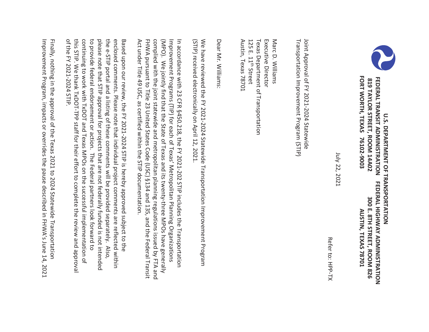

 **FORT WORTH, TEXAS 76102-9003 AUSTIN, TEXAS 78701**  FORT WORTH, TEXAS  **819 TAYLOR STREET, ROOM 14A02 300 E. 8TH STREET, ROOM 826**  FEDERAL TRANSIT ADMINISTRATION **FEDERAL TRANSIT ADMINISTRATION FEDERAL HIGHWAY** 819 TAYLOR STREET, ROOM 14A02 **U.S. DEPARTMENT OF TRANSPORTATION U.S. DEPARTMENT OF TRANSPORTATION**  76102-9003 FEDERAL HIGHWAY ADMINISTRATION 300 E. 8TH STREET, ROOM 826 AUSTIN, TEXAS 78701 **ADMINISTRATION** 

 July 22, 2021 July 22, 2021

Refer to: HPP-TX Refer to: HPP-TX

Joint Approval of FY 2021-2024 Statewide Transportation Improvement Program (STIP) Transportation Improvement Program (STIP) Joint Approval of FY 2021-2024 Statewide

Austin, Texas 78701 Executive Director Marc D. Williams Austin, Texas 78701 125 E. 11 Texas Department of Transportation Executive Director Marc D. Williams th Street

Dear Mr. Williams: Dear Mr. Williams:

We have reviewed the FY 2021-2024 Statewide Transportation Improvement Program (STIP) received electronically on April 12, 2021. (STIP) received electronically on April 12, 2021. We have reviewed the FY 2021-2024 Statewide Transportation Improvement Program

complied with the joint statewide and metropolitan planning regulations issued by FTA and Improvement Programs (TIP) for each of Texas' Metropolitan Planning Organizations FHWA pursuant to Title 23 United States Code (USC) §134 and 135, and the Federal Transit (MPO). We jointly find that the State of Texas and its twenty-three MPOs have generally In accordance with 23 CFR §450.218, the FY 2021-202 STIP includes the Transportation Act under Title 49 USC, as certified within the STIP documentation. Act under Title 49 USC, as certified within the SIIP documentation. FHWA pursuant to Title 23 United States Code (USC) §134 and 135, and the Federal Transit complied with the joint statewide and metropolitan planning regulations issued by FTA and (MPO). We jointly find that the State of Texas and its twenty-three MPOs have generally Improvement Programs (TIP) for each of Texas' Metropolitan Planning Organizations In accordance with 23 CFR §450.218, the FY 2021-202 STIP includes the Transportation

this STIP. We thank TxDOT-TPP staff for their effort to complete the review and approval continuing to work with TxDOT and Texas MPOs on the successful implementation of please note that STIP approval for projects that are not federally funded is not intended the e-STIP portal and a listing of these comments will be provided separately. Also, enclosed comments. Please note that individual project comments are reflected within of the FY 2021-2024 STIP. to provide federal endorsement or action. The Federal partners look forward to Based upon our review, the FY 2021-2024 STIP is hereby approved subject to the of the FY 2021-2024 STIP. this STIP. We thank TxDOT-TPP staff for their effort to complete the review and approval continuing to work with TxDOT and Texas MPOs on the successful implementation of to provide federal endorsement or action. The Federal partners look forward to please note that STIP approval for projects that are not federally funded is not intended the e-STIP portal and a listing of these comments will be provided separately. Also, enclosed comments. Please note that individual project comments are reflected within Based upon our review, the FY 2021-2024 STIP is hereby approved subject to the

Improvement Program, impacts or overrides the pause described in FHWA's June 14, 2021 Finally, nothing in the approval of the Texas 2021 to 2024 Statewide Transportation Improvement Program, impacts or overrides the pause described in FHWA's June 14, 2021 Finally, nothing in the approval of the Texas 2021 to 2024 Statewide Transportation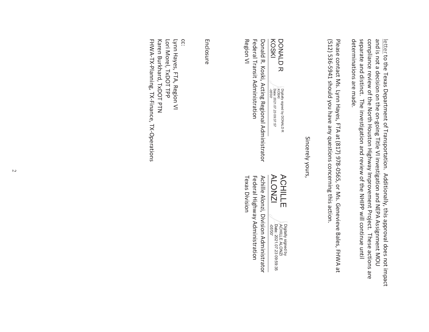separate and distinct. The investigation and review of the NHIPP will continue until compliance review of the North Houston Highway Improvement Project. These actions are and is not a decision on the on-going Title VI investigation and NEPA Assignment MOU determinations are made. letter to the Texas Department of Transportation. Additionally, this approval does not impact determinations are made. separate and distinct. The investigation and review of the NHIPP will continue until compliance review of the North Houston Highway Improvement Project. These actions are and is not a decision on the on-going Title VI investigation and NEPA Assignment MOU letter to the Texas Department of Transportation. Additionally, this approval does not impact

(512) 536-5941 should you have any questions concerning this action. Please contact Ms. Lynn Hayes, FTA at (817) 978-0565, or Ms. Genevieve Bales, FHWA at (512) 536-5941 should you have any questions concerning this action. Please contact Ms. Lynn Hayes, FTA at (817) 978-0565, or Ms. Genevieve Bales, FHWA at

Sincerely yours, Sincerely yours,

DONALD<sub>R</sub> DONALD R KOSKI -05'00' KOSKI Date: 2021.07.23 09:37:57 Digitally signed by DONALD R ACHILLE

Region VI Federal Transit Administration Donald R. Koski, Acting Regional Administrator Region VI Texas Division Federal Transit Administration Federal Highway Administration Donald R. Koski, Acting Regional Administrator Achille Alonzi, Division Administrator

ALONZI **ACHILLE** 

Digitally signed by<br>ACHILLE ALONZI<br>Date: 2021.07.23 09:59:35 Digitally signed by CHILLE ALONZI -05'00' Date: 2021.07.23 09:59:35

Achille Alonzi, Division Administrator Federal Highway Administration **Texas Division** 

Enclosure

cc: FHWA-TX-Planning, TX-Finance, TX-Operations Karen Burkhard, TxDOT PTN Lori Morel, TxDOT TPP Lynn Hayes, FTA, Region VI FHWA-TX-Planning, TX-Finance, TX-Operations Karen Burkhard, TxDOT PTN Lori Morel, TxDOT TPP Lynn Hayes, FTA, Region VI